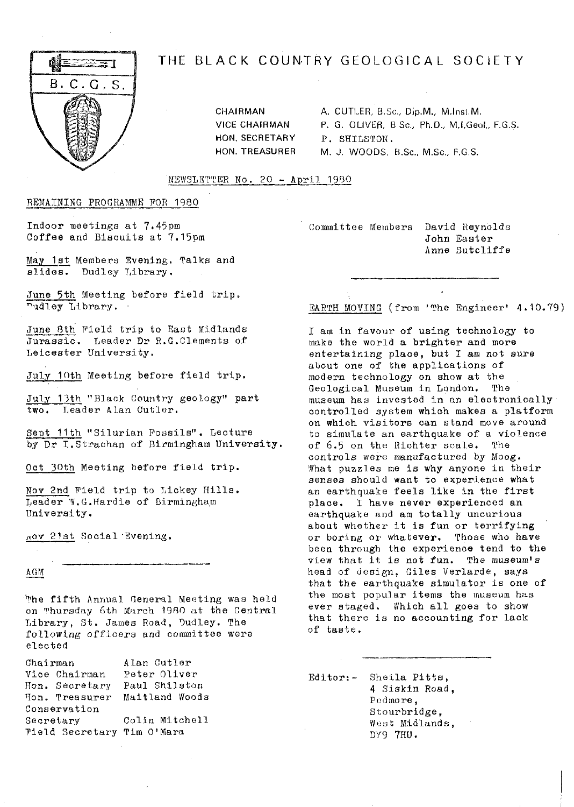

# THE BLACK COUNTRY GEOLOGICAL SOCIETY

CHAIRMAN A. CUTLER, B.Sc., Dip.M., M.Inst.M. VICE CHAIRMAN P. G. OLIVER, B Sc., Ph.D., M.I.Geol., F.G.S. HON. SECRETARY P. SHILSTON.<br>HON. TREASURER M. J. WOODS M. J. WOODS, B.Sc., M.Sc., F,G.S.

NEWSLETTER No. 20 - April 1980

REMAItNING PROGRAMME FOR 1980

Indoor meetings at 7.45pm Coffee and Biscuits at 7,15pm

May 1st Members Evening. Talks and slides. Dudley Library.

June 5th Meeting before field trip. hudley Library.

June 8th Pield trip to East Midlands Jurassic. Leader Dr R.G.Clements of Leicester University.

July 10th Meeting before field trip.

July 13th "Black Country geology" part two. Leader Alan Cutler.

Sept 11th "Silurian Possils". Lecture by Dr I.Strachan of Birmingham University.

Oct 30th Meeting before field trip.

Nov 2nd Pield trip to Tickey Hills. Leader W.G.Hardie of Birmingham University.

,, ov 21st Social -Evening.

A GM

'?'he fifth Annual General Meeting was held on Thursday 6th March 1980 at the Central Library, St. James Road, Dudley. The following officers and committee were elected

Chairman vice Chairman Hon. Secretary Paul Shilston <sup>p</sup>ion. Treasurer Maitland Woods Conservation Secretary Field Secretary Tim O'Mara Alan Cutler Peter Oliver Colin Mitchell Committee Members David Reynolds John Easter Anne Sutcliffe

EARTH MOVING (from 'The Engineer' 4.10.79)

I am in favour of using technology to make the world a brighter and more entertaining place, but I am not sure about one of the applications of modern technology on show at the Geological Museum in London. The museum has invested in an electronically controlled system which makes a platform on which visitors can stand move around to simulate an earthquake of a violence of 6.5 on the Richter scale. The controls were manufactured by Moog. What puzzles me Is why anyone in their senses should want to experience what an earthquake feels like in the first place. I have never experienced an earthquake and am totally uncurious about whether it is fun or terrifying or boring or whatever. Those who have been through the experience tend to the view that it is not fun. The museum's head of design, Giles Verlarde, says that the earthquake simulator is one of the most popular items the museum has ever staged. Which all goes to show that there is no accounting for lack of taste.

Editor:- Sheila Pitts, 4 Slskin Road, Pedmore, Stourbridge, West Midlands, DY9 7HU.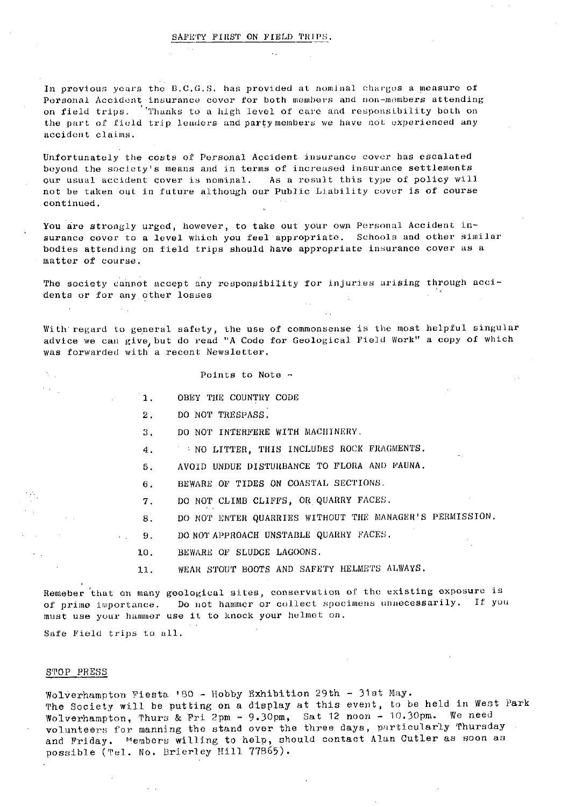#### SAFETY FIRST ON FIELD TRIPS.

In previous years the B.C.G.S, has provided at nominal charges a measure of Personal Accident insurance cover for both members and non--members attending on field trips. 'Thanks to a high level of care and responsibility both on the part of field trip leaders and party members we have not experienced any accident claims,

Unfortunately the costs of Personal Accident insurance cover has escalated beyond the society's means and in terms of increased insurance settlements *our usual accident cover is* nominal. As a result this type of policy will not be taken out in future although our Public Liability cover is of course continued,

You are strongly urged, however, to take out your own Personal Accident insurance cover to a level which you feel *appropriate. Schools and* other similar bodies attending on field trips should have appropriate insurance cover as a matter of course.

The society cannot accept any responsibility for injuries arising through accidents or for any other losses  $\mathcal{A}$ 

With regard to general safety, the use of commonsense is the most helpful singular advice we *can give,* but do read "A Code for Geological Field Work" a copy of which was forwarded with a recent Newsletter.

| Points to Note - |
|------------------|
|------------------|

- 1. OBEY THE COUNTRY CODE
- 2. DO NOT TRESPASS.
- 3. DO NOT INTERFERE WITH MACHINERY.
- 4. NO LITTER, THIS INCLUDES ROCK FRAGMENTS.
- 5, AVOID UNDUE DISTURBANCE TO FLORA AND FAUNA.
- 6. BEWARE OF TIDES ON COASTAL SECTIONS.
- 7. DO NOT CLIMB CLIFFS, OR QUARRY FACES.
- 8. DO NOT ENTER QUARRIES WITHOUT THE MANAGER'S PERMISSION.
- 9. DO NOT APPROACH UNSTABLE QUARRY FACES.
- 10. BEWARE OF SLUDGE LAGOONS.
- 11. WEAR STOUT BOOTS AND SAFETY HELMETS ALWAYS.

Remeber that on many geological sites, conservation of the existing exposure is of prime importance. Do not hammer or collect specimens unnecessarily. If you must use your hammer use it to knock your helmet on.

Safe Field trips to all,

#### STOP PRESS

 $\mathcal{L}^{\mathcal{L}}$ 

 $\mathcal{N}_{\rm{max}}$  $\mathcal{C}(\mathcal{A})$ 

**Service** 

Wolverhampton Fiesta 'SQ - Hobby Exhibition 29th - 31st May. The Society will be putting on a display at this event, to be held in West Park Wolverhampton, Thurs & Fri 2pm - 9.30pm, Sat 12 noon - 10.30pm. We need volunteers for manning the stand over the *three days, particularly* Thursday and Friday. "embers willing to help, should contact Alan Cutler as soon as possible (Tel. No. Drierl ey Hill 77865).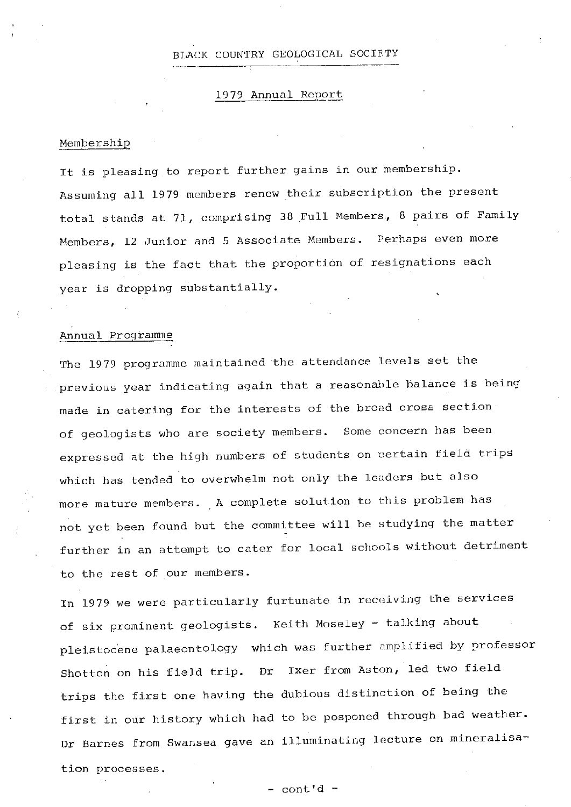### BLACK COUNTRY GEOLOGICAL SOCIETY

# 1979 Annual Report

#### Membership

**It is** pleasing to report further gains in our membership. Assuming all 1979 members renew their subscription the present total stands at 71, comprising 38 Full Members., 8 pairs of Family Members, 12 Junior and 5 Associate Members. Perhaps even more pleasing is the fact that the proportion of resignations each year is dropping substantially,

## Annual Programme

The 1979 programme maintained the attendance levels set the previous year indicating again that a reasonable balance is being made in catering for the interests of the broad cross section of geologists who are society members. Some concern has been expressed at the high numbers of students on certain field trips which has tended to overwhelm not only the leaders but also more mature members. A complete solution to this problem has not yet been found but the committee will be studying the matter further in an attempt to cater for local schools without detriment to the rest of our members.

in 1979 we were particularly furtunate in receiving the services of six prominent geologists. Keith Moseley - talking about pleistocene palaeontology which was further amplified by professor Shotton on his field trip. Dr Ixer from Aston, led two field trips the first one having the dubious distinction of being the first in our history which had to be posponed through bad weather. Dr Barnes from Swansea gave an illuminating lecture on mineralisation processes.

-- cont' d -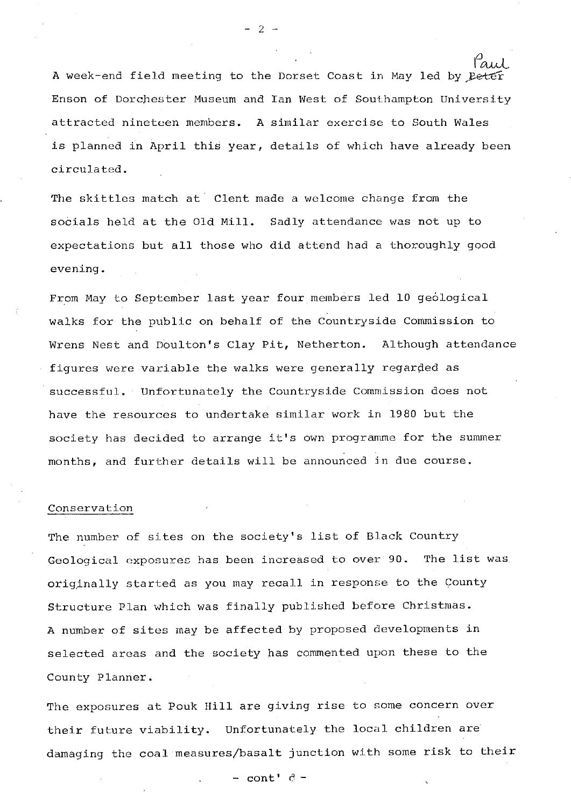A week-end field meeting to the Dorset Coast in May led by Peter Enson of Dorchester Museum and Ian West of Southampton University attracted nineteen members. A similar exercise to South Wales is planned in April this year, details of which have already been circulated.

 $-2-$ 

The skittles match at Clent made a welcome change from the socials held at the Old Mill. Sadly attendance was not up to expectations but all those who did attend had a thoroughly good evening.

From May to September last year four members led 10 geological walks for the public on behalf of the Countryside Commission to Wrens Nest and Doulton's Clay Pit, Netherton. Although attendance .figures were variable the walks were generally regarded as successful. Unfortunately the Countryside Commission does not have the resources to undertake similar work in 1980 but the society has decided to arrange it's own programme for the summer months, and further details will be announced in due course.

### Conservation

The number of sites on the society's list of Black Country Geological exposures has been increased to over 90. The list was originally started as you may recall in response to the County Structure Plan which was finally published before Christmas. A number of sites may be affected by proposed developments in selected areas and the society has commented upon these to the County Planner.

The exposures at Pouk Hill are giving **rise** to some concern over their future viability. Unfortunately the local children are damaging the coal measures/basalt junction with some risk to their

 $-$  cont'  $d -$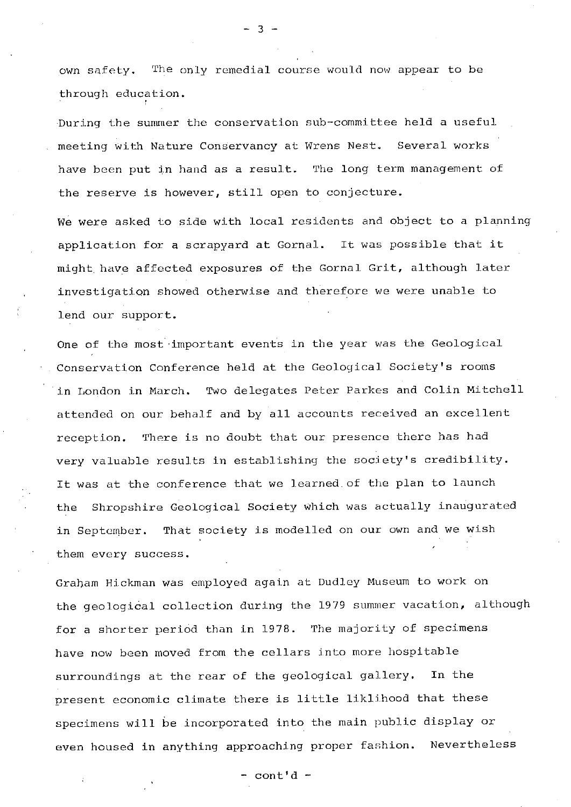own safety. The only remedial course would now appear to be through education.

3

During the summer the conservation sub-committee held a useful meeting with Nature Conservancy at Wrens Nest. Several works have been put in hand as a result. The long term management of the reserve is however, still open to conjecture.

We were asked to side with local residents and object to a planning application for a scrapyard at Gornal. It was possible that it might have affected exposures of the Gornal Grit, although later investigation showed otherwise and therefore we were unable to lend our support.

One of the most important events in the year was the Geological Conservation Conference held at the Geological Society's rooms in London in March. Two delegates Peter Parkes and Colin Mitchell attended on our behalf and by all accounts received an excellent reception. There is no doubt that our presence there has had very valuable *results in* establishing the society's credibility. It was at the conference that we learned, of the plan to launch the Shropshire Geological Society which was actually inaugurated in September. That society is modelled on our own and we wish them every success.

Graham Hickman was employed again at Dudley Museum to work on the geological collection during the 1979 summer vacation, although for a shorter period than in 1978. The majority of specimens have now been moved from the *cellars into more* hospitable surroundings at the rear of the geological gallery. In the present economic climate there is little liklihood that these specimens will be incorporated into the main public display or even housed in anything approaching proper fashion. Nevertheless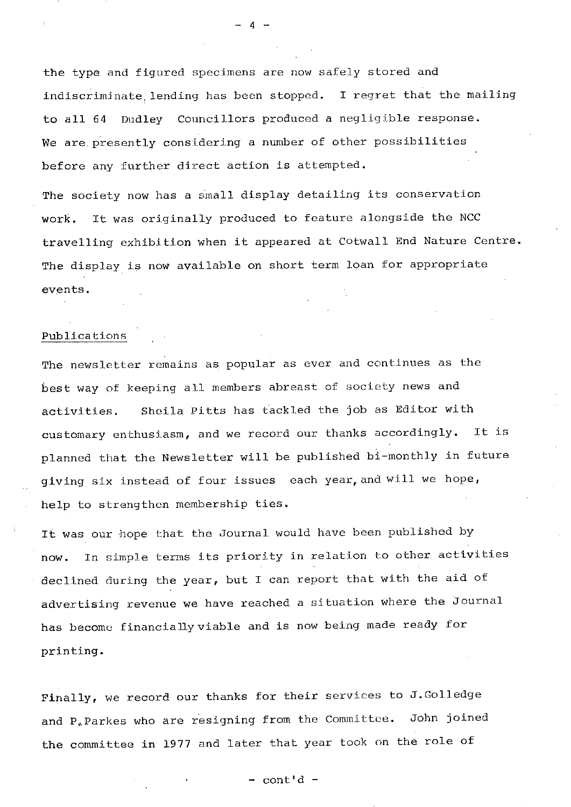the *type and* figured specimens are now safely stored and indiscriminate lending has been stopped. I regret that the mailing to all 64 Dudley Councillors produced a negligible response. We are presently considering a number of other possibilities before any further direct action is attempted.

 $\Lambda$ 

The society now has a small display detailing its conservation work. it was originally produced to feature alongside the NCC travelling exhibition *when* it appeared at Cotwall End Nature Centre. The display is now available on short term loan for appropriate events.

# Publications

The newsletter remains as popular as ever and continues as the best way of keeping all members abreast of society news and activities. Sheila Pitts has tackled the job as Editor with customary enthusiasm, and we record our thanks accordingly. It is planned that the Newsletter will be published hi-monthly in future giving six instead of four *issues* each year, and *will we hope,* help to strengthen membership ties.

It was our hope that the Journal would have been published by now. In simple terms **its** priority in relation to other activities declined during the year, but I can report that with the aid of advertising revenue we have reached a situation where the Journal has become financially viable and is now being made ready for printing.

Finally, we record our thanks for their services to J.Golledge and P,.Parkes who are resigning from *the* Committee. John joined the committee **in** 1977 and later that year took on the role of

 $-$  cont'd  $-$